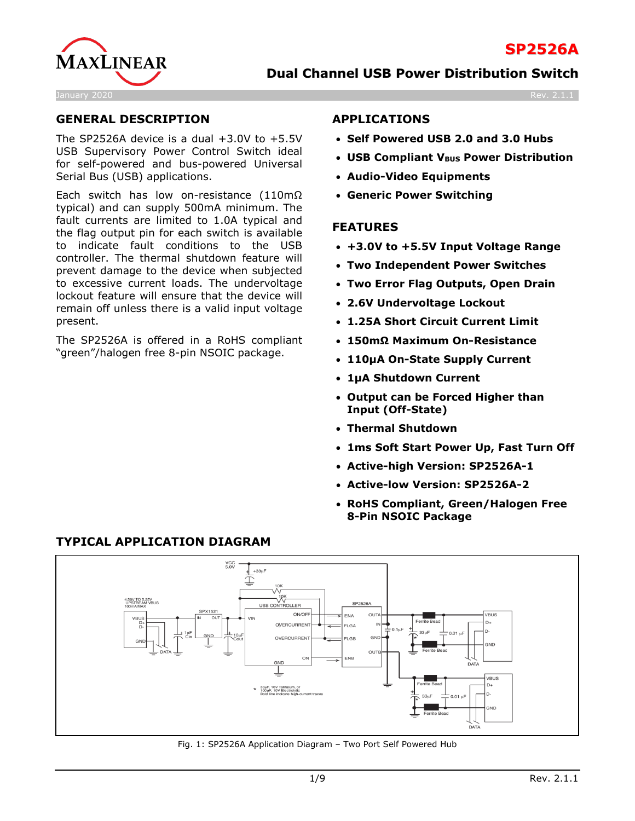

# **GENERAL DESCRIPTION**

The SP2526A device is a dual  $+3.0V$  to  $+5.5V$ USB Supervisory Power Control Switch ideal for self-powered and bus-powered Universal Serial Bus (USB) applications.

Each switch has low on-resistance (110mΩ typical) and can supply 500mA minimum. The fault currents are limited to 1.0A typical and the flag output pin for each switch is available to indicate fault conditions to the USB controller. The thermal shutdown feature will prevent damage to the device when subjected to excessive current loads. The undervoltage lockout feature will ensure that the device will remain off unless there is a valid input voltage present.

The SP2526A is offered in a RoHS compliant "green"/halogen free 8-pin NSOIC package.

### **APPLICATIONS**

- **Self Powered USB 2.0 and 3.0 Hubs**
- **USB Compliant VBUS Power Distribution**
- **Audio-Video Equipments**
- **Generic Power Switching**

#### **FEATURES**

- **+3.0V to +5.5V Input Voltage Range**
- **Two Independent Power Switches**
- **Two Error Flag Outputs, Open Drain**
- **2.6V Undervoltage Lockout**
- **1.25A Short Circuit Current Limit**
- **150mΩ Maximum On-Resistance**
- **110μA On-State Supply Current**
- **1μA Shutdown Current**
- **Output can be Forced Higher than Input (Off-State)**
- **Thermal Shutdown**
- **1ms Soft Start Power Up, Fast Turn Off**
- **Active-high Version: SP2526A-1**
- **Active-low Version: SP2526A-2**
- **RoHS Compliant, Green/Halogen Free 8-Pin NSOIC Package**



# **TYPICAL APPLICATION DIAGRAM**

Fig. 1: SP2526A Application Diagram – Two Port Self Powered Hub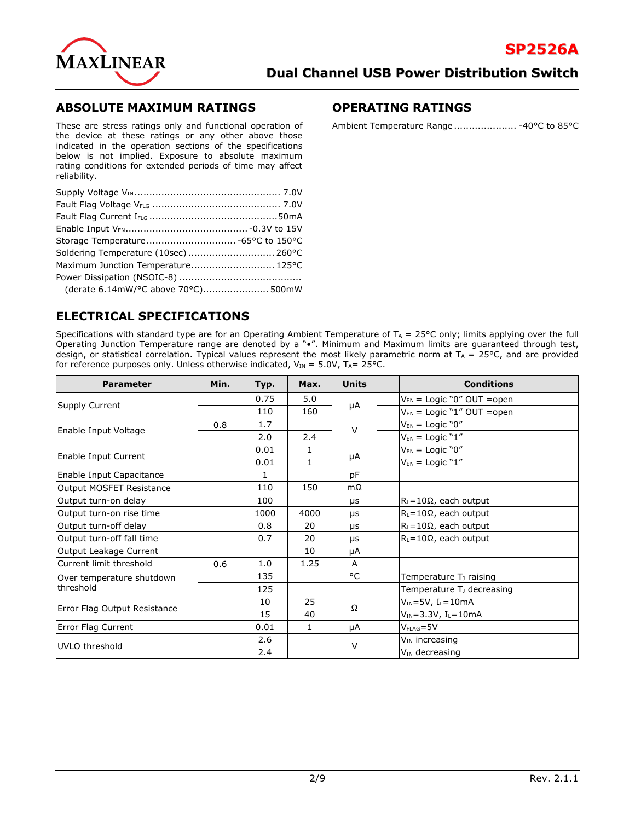

# **ABSOLUTE MAXIMUM RATINGS**

#### These are stress ratings only and functional operation of the device at these ratings or any other above those indicated in the operation sections of the specifications below is not implied. Exposure to absolute maximum rating conditions for extended periods of time may affect reliability.

| Soldering Temperature (10sec) 260°C |  |
|-------------------------------------|--|
| Maximum Junction Temperature 125°C  |  |
|                                     |  |
| (derate 6.14mW/°C above 70°C) 500mW |  |

# **ELECTRICAL SPECIFICATIONS**

#### Specifications with standard type are for an Operating Ambient Temperature of  $T_A = 25^{\circ}C$  only; limits applying over the full Operating Junction Temperature range are denoted by a "•". Minimum and Maximum limits are guaranteed through test, design, or statistical correlation. Typical values represent the most likely parametric norm at  $T_A = 25^{\circ}$ C, and are provided for reference purposes only. Unless otherwise indicated,  $V_{IN} = 5.0V$ ,  $T_{A} = 25^{\circ}$ C.

| <b>Parameter</b>             | Min. | Typ. | Max. | <b>Units</b> |                     | <b>Conditions</b>                     |
|------------------------------|------|------|------|--------------|---------------------|---------------------------------------|
| Supply Current               |      | 0.75 | 5.0  | μA           |                     | $V_{EN}$ = Logic "0" OUT = open       |
|                              |      | 110  | 160  |              |                     | $V_{EN}$ = Logic "1" OUT = open       |
|                              | 0.8  | 1.7  |      | $\vee$       |                     | $V_{EN}$ = Logic "0"                  |
| Enable Input Voltage         |      | 2.0  | 2.4  |              |                     | $V_{EN}$ = Logic "1"                  |
|                              |      | 0.01 | 1    |              |                     | $V_{EN}$ = Logic "0"                  |
| Enable Input Current         |      | 0.01 | 1    | μA           |                     | $V_{EN}$ = Logic "1"                  |
| Enable Input Capacitance     |      | 1    |      | pF           |                     |                                       |
| Output MOSFET Resistance     |      | 110  | 150  | $m\Omega$    |                     |                                       |
| Output turn-on delay         |      | 100  |      | μs           |                     | $R_L = 10\Omega$ , each output        |
| Output turn-on rise time     |      | 1000 | 4000 | <b>US</b>    |                     | $R_L = 10\Omega$ , each output        |
| Output turn-off delay        |      | 0.8  | 20   | μs           |                     | $R_L = 10\Omega$ , each output        |
| Output turn-off fall time    |      | 0.7  | 20   | μs           |                     | $R_L = 10\Omega$ , each output        |
| Output Leakage Current       |      |      | 10   | μA           |                     |                                       |
| Current limit threshold      | 0.6  | 1.0  | 1.25 | A            |                     |                                       |
| Over temperature shutdown    |      | 135  |      | °C           |                     | Temperature T <sub>J</sub> raising    |
| threshold                    |      | 125  |      |              |                     | Temperature T <sub>J</sub> decreasing |
| Error Flag Output Resistance |      | 10   | 25   | Ω            |                     | $V_{IN} = 5V$ , I <sub>L</sub> =10mA  |
|                              |      | 15   | 40   |              |                     | $V_{IN} = 3.3V, I_L = 10mA$           |
| Error Flag Current           |      | 0.01 | 1    | μA           |                     | $V_{\text{FLAG}} = 5V$                |
|                              |      | 2.6  |      | $\vee$       | $V_{IN}$ increasing |                                       |
| UVLO threshold               |      | 2.4  |      |              |                     |                                       |

# **OPERATING RATINGS**

Ambient Temperature Range ..................... -40°C to 85°C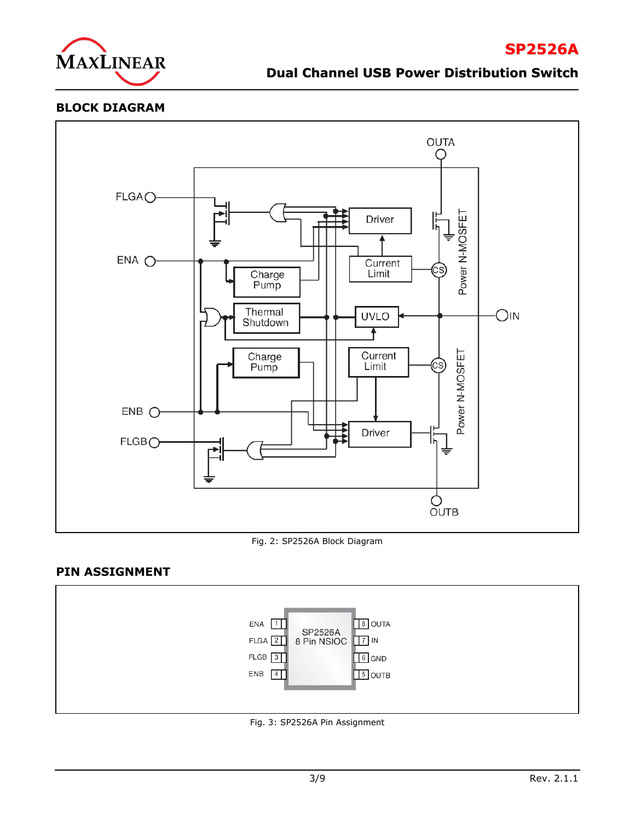

#### **BLOCK DIAGRAM**



Fig. 2: SP2526A Block Diagram

# **PIN ASSIGNMENT**



Fig. 3: SP2526A Pin Assignment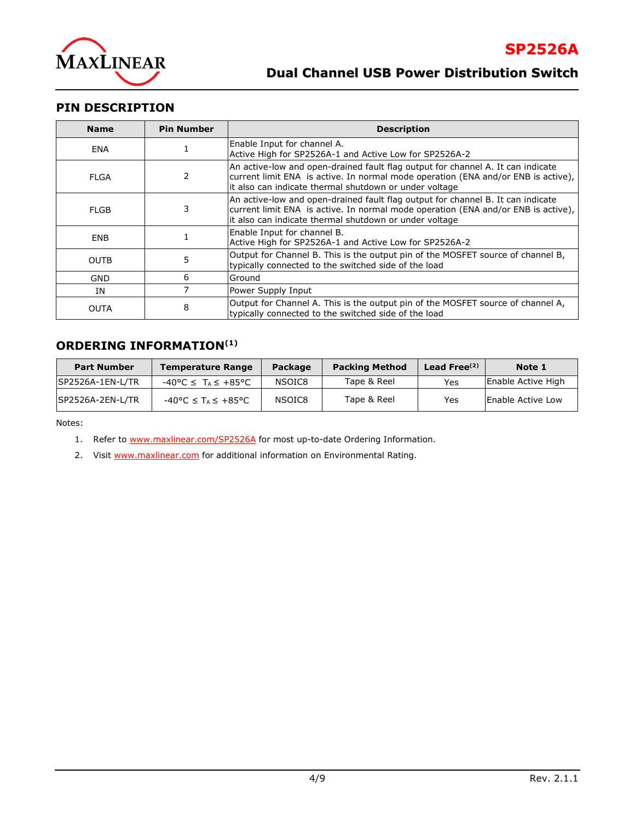

# **PIN DESCRIPTION**

| <b>Name</b> | <b>Pin Number</b> | <b>Description</b>                                                                                                                                                                                                             |
|-------------|-------------------|--------------------------------------------------------------------------------------------------------------------------------------------------------------------------------------------------------------------------------|
| ENA         |                   | Enable Input for channel A.<br>Active High for SP2526A-1 and Active Low for SP2526A-2                                                                                                                                          |
| FLGA        | 2                 | An active-low and open-drained fault flag output for channel A. It can indicate<br>current limit ENA is active. In normal mode operation (ENA and/or ENB is active),<br>it also can indicate thermal shutdown or under voltage |
| <b>FLGB</b> | 3                 | An active-low and open-drained fault flag output for channel B. It can indicate<br>current limit ENA is active. In normal mode operation (ENA and/or ENB is active),<br>it also can indicate thermal shutdown or under voltage |
| <b>ENB</b>  |                   | Enable Input for channel B.<br>Active High for SP2526A-1 and Active Low for SP2526A-2                                                                                                                                          |
| <b>OUTB</b> | 5                 | Output for Channel B. This is the output pin of the MOSFET source of channel B,<br>typically connected to the switched side of the load                                                                                        |
| <b>GND</b>  | 6                 | Ground                                                                                                                                                                                                                         |
| ΙN          |                   | Power Supply Input                                                                                                                                                                                                             |
| <b>OUTA</b> | 8                 | Output for Channel A. This is the output pin of the MOSFET source of channel A,<br>typically connected to the switched side of the load                                                                                        |

# **ORDERING INFORMATION(1)**

| <b>Part Number</b> | <b>Temperature Range</b>                  | <b>Package</b> | <b>Packing Method</b> | Lead Free $(2)$ | Note 1             |
|--------------------|-------------------------------------------|----------------|-----------------------|-----------------|--------------------|
| SP2526A-1EN-L/TR   | $-40\degree C \leq T_A \leq +85\degree C$ | NSOIC8         | Tape & Reel           | Yes             | Enable Active High |
| ISP2526A-2EN-L/TR  | $-40\degree C \leq T_A \leq +85\degree C$ | NSOIC8         | Tape & Reel           | Yes             | Enable Active Low  |

Notes:

1. Refer to [www.maxlinear.com/SP2526A](http://www.maxlinear.com/SP2526A) for most up-to-date Ordering Information.

2. Visit [www.maxlinear.com](http://www.maxlinear.com/) for additional information on Environmental Rating.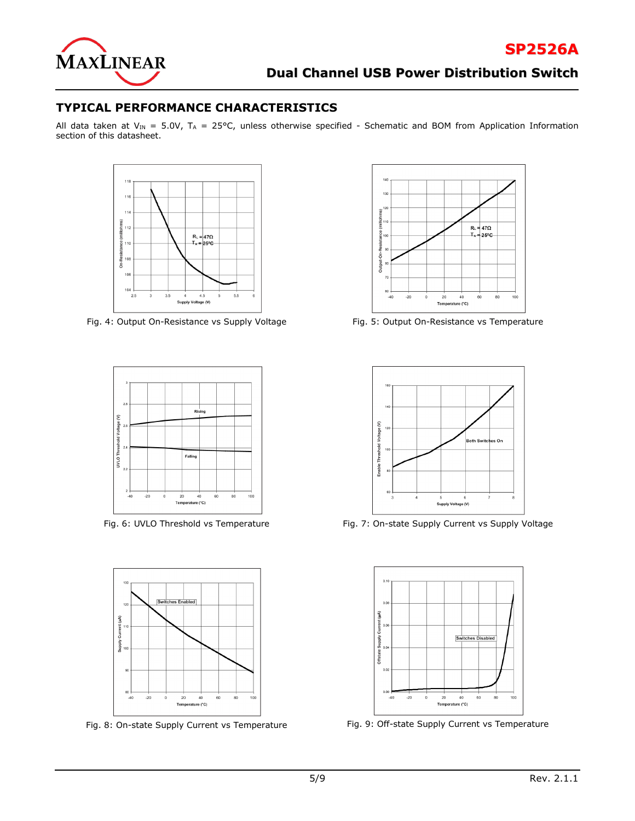

### **TYPICAL PERFORMANCE CHARACTERISTICS**

All data taken at VIN = 5.0V, TA = 25°C, unless otherwise specified - Schematic and BOM from Application Information section of this datasheet.









Fig. 4: Output On-Resistance vs Supply Voltage Fig. 5: Output On-Resistance vs Temperature



Fig. 6: UVLO Threshold vs Temperature Fig. 7: On-state Supply Current vs Supply Voltage



Fig. 8: On-state Supply Current vs Temperature Fig. 9: Off-state Supply Current vs Temperature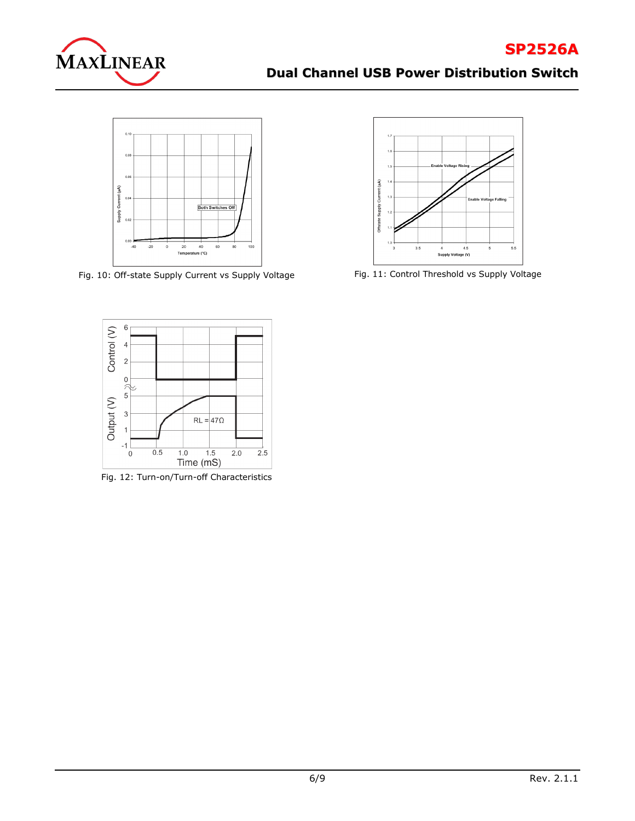



Fig. 10: Off-state Supply Current vs Supply Voltage Fig. 11: Control Threshold vs Supply Voltage





Fig. 12: Turn-on/Turn-off Characteristics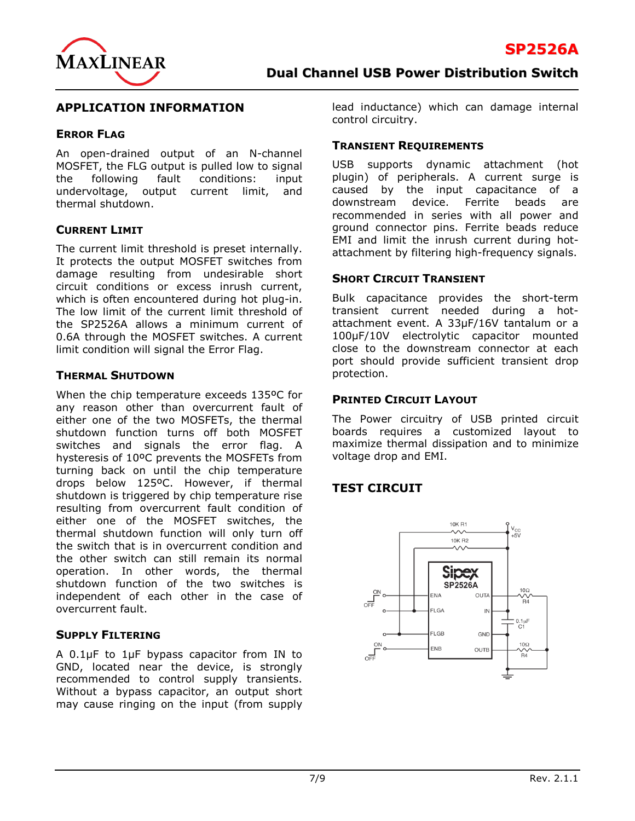### **APPLICATION INFORMATION**

#### **ERROR FLAG**

An open-drained output of an N-channel MOSFET, the FLG output is pulled low to signal the following fault conditions: input undervoltage, output current limit, and thermal shutdown.

### **CURRENT LIMIT**

The current limit threshold is preset internally. It protects the output MOSFET switches from damage resulting from undesirable short circuit conditions or excess inrush current, which is often encountered during hot plug-in. The low limit of the current limit threshold of the SP2526A allows a minimum current of 0.6A through the MOSFET switches. A current limit condition will signal the Error Flag.

### **THERMAL SHUTDOWN**

When the chip temperature exceeds 135ºC for any reason other than overcurrent fault of either one of the two MOSFETs, the thermal shutdown function turns off both MOSFET switches and signals the error flag. A hysteresis of 10ºC prevents the MOSFETs from turning back on until the chip temperature drops below 125ºC. However, if thermal shutdown is triggered by chip temperature rise resulting from overcurrent fault condition of either one of the MOSFET switches, the thermal shutdown function will only turn off the switch that is in overcurrent condition and the other switch can still remain its normal operation. In other words, the thermal shutdown function of the two switches is independent of each other in the case of overcurrent fault.

### **SUPPLY FILTERING**

A 0.1μF to 1μF bypass capacitor from IN to GND, located near the device, is strongly recommended to control supply transients. Without a bypass capacitor, an output short may cause ringing on the input (from supply lead inductance) which can damage internal control circuitry.

### **TRANSIENT REQUIREMENTS**

USB supports dynamic attachment (hot plugin) of peripherals. A current surge is caused by the input capacitance of a downstream device. Ferrite beads are recommended in series with all power and ground connector pins. Ferrite beads reduce EMI and limit the inrush current during hotattachment by filtering high-frequency signals.

#### **SHORT CIRCUIT TRANSIENT**

Bulk capacitance provides the short-term transient current needed during a hotattachment event. A 33μF/16V tantalum or a 100μF/10V electrolytic capacitor mounted close to the downstream connector at each port should provide sufficient transient drop protection.

### **PRINTED CIRCUIT LAYOUT**

The Power circuitry of USB printed circuit boards requires a customized layout to maximize thermal dissipation and to minimize voltage drop and EMI.

# **TEST CIRCUIT**

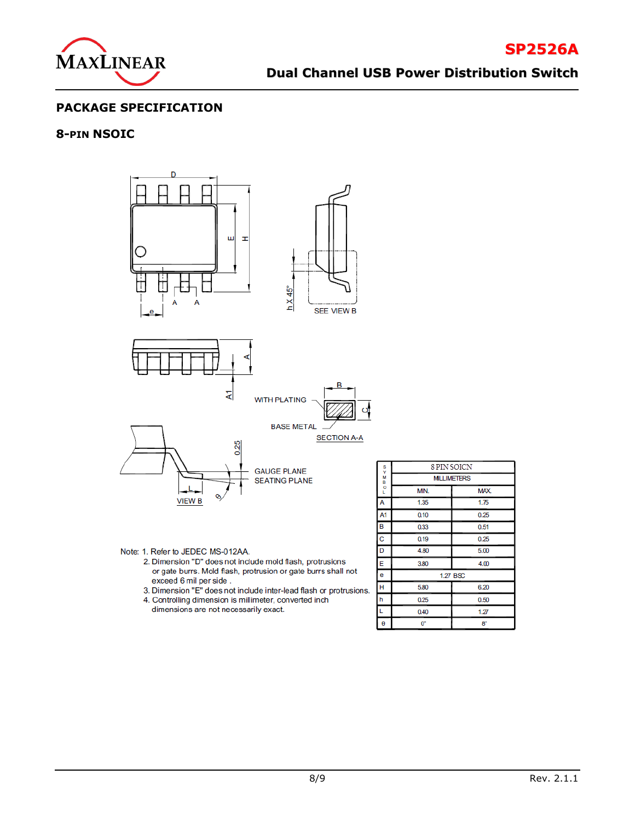

# **PACKAGE SPECIFICATION**

### **8-PIN NSOIC**



Note: 1. Refer to JEDEC MS-012AA.

- 2. Dimension "D" does not include mold flash, protrusions or gate burrs. Mold flash, protrusion or gate burrs shall not exceed 6 mil per side.
- 3. Dimension "E" does not include inter-lead flash or protrusions.
- 4. Controlling dimension is millimeter, converted inch dimensions are not necessarily exact.

| s      | 8 PIN SOICN       |             |  |
|--------|-------------------|-------------|--|
| $-800$ | <b>MLLIMETERS</b> |             |  |
|        | MIN.              | MAX.        |  |
| A      | 1.35              | 1.75        |  |
| A1     | 0.10              | 0.25        |  |
| B      | 0.33              | 0.51        |  |
| C      | 0.19              | 0.25        |  |
| D      | 4.80              | 5.00        |  |
| Е      | 3.80              | 4.00        |  |
| e      |                   | 1.27 BSC    |  |
| H      | 5.80              | 6.20        |  |
| h      | 0.25              | 0.50        |  |
| L      | 0.40              | 1.27        |  |
| θ      | О°                | $8^{\circ}$ |  |